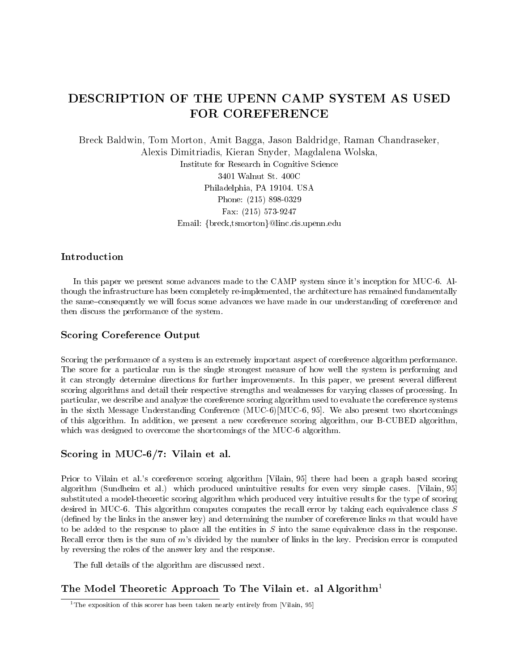# DESCRIPTION OF THE UPENN CAMP SYSTEM AS USED FOR COREFERENCE

Breck Baldwin, Tom Morton, Amit Bagga, Jason Baldridge, Raman Chandraseker, Alexis Dimitriadis, Kieran Snyder, Magdalena Wolska, Institute for Research in Cognitive Science 3401 Walnut St. 400C Philadelphia, PA 19104. USA Phone: (215) 898-0329 Fax: (215) 573-9247 Email: {breck,tsmorton}@linc.cis.upenn.edu

# Introduction

In this paper we present some advances made to the CAMP system since it's inception for MUC-6. Although the infrastructure has been completely re-implemented, the architecture has remained fundamentally the same-consequently we will focus some advances we have made in our understanding of coreference and then discuss the performance of the system.

# Scoring Coreference Output

Scoring the performance of a system is an extremely important aspect of coreference algorithm performance. The score for a particular run is the single strongest measure of how well the system is performing and it can strongly determine directions for further improvements. In this paper, we present several different scoring algorithms and detail their respective strengths and weaknesses for varying classes of processing. In particular, we describe and analyze the coreference scoring algorithm used to evaluate the coreference systems in the sixth Message Understanding Conference (MUC-6)[MUC-6, 95]. We also present two shortcomings of this algorithm. In addition, we present a new coreference scoring algorithm, our B-CUBED algorithm, which was designed to overcome the shortcomings of the MUC-6 algorithm.

# Scoring in MUC-6/7: Vilain et al.

Prior to Vilain et al.'s coreference scoring algorithm [Vilain, 95] there had been a graph based scoring algorithm (Sundheim et al.) which produced unintuitive results for even very simple cases. [Vilain, 95] substituted a model-theoretic scoring algorithm which produced very intuitive results for the type of scoring desired in MUC-6. This algorithm computes computes the recall error by taking each equivalence class <sup>S</sup> (defined by the links in the answer key) and determining the number of coreference links  $m$  that would have to be added to the response to place all the entities in  $S$  into the same equivalence class in the response. Recall error then is the sum of <sup>m</sup>'s divided by the number of links in the key. Precision error is computed by reversing the roles of the answer key and the response.

The full details of the algorithm are discussed next.

# The Model Theoretic Approach To The Vilain et. al Algorithm<sup>1</sup>

<sup>&</sup>lt;sup>1</sup>The exposition of this scorer has been taken nearly entirely from [Vilain, 95]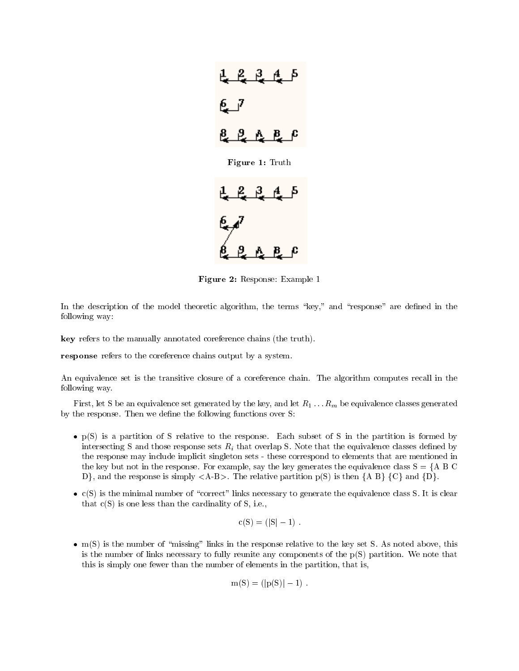

Figure 2: Response: Example 1

In the description of the model theoretic algorithm, the terms "key," and "response" are defined in the following way:

key refers to the manually annotated coreference chains (the truth).

response refers to the coreference chains output by a system.

An equivalence set is the transitive closure of a coreference chain. The algorithm computes recall in the following way.

First, let S be an equivalence set generated by the key, and let  $R_1 \ldots R_m$  be equivalence classes generated by the response. Then we define the following functions over S:

- $\bullet$  p(S) is a partition of S relative to the response. Each subset of S in the partition is formed by intersecting S and those response sets  $R_i$  that overlap S. Note that the equivalence classes defined by the response may include implicit singleton sets - these correspond to elements that are mentioned in the key but not in the response. For example, say the key generates the equivalence class  $S = \{A \mid B \cup C\}$ D}, and the response is simply  $\langle A-B \rangle$ . The relative partition p(S) is then  $\{A \mid B\}$   $\{C\}$  and  $\{D\}$ .
- $\bullet$  c(5) is the minimal number of "correct" links necessary to generate the equivalence class S. It is clear that  $c(S)$  is one less than the cardinality of S, i.e.,

$$
c(S) = (|S| - 1)
$$
.

 $\bullet$  m(S) is the number of "missing" links in the response relative to the key set S. As noted above, this is the number of links necessary to fully reunite any components of the  $p(S)$  partition. We note that this is simply one fewer than the number of elements in the partition, that is,

$$
m(S) = (|p(S)| - 1) .
$$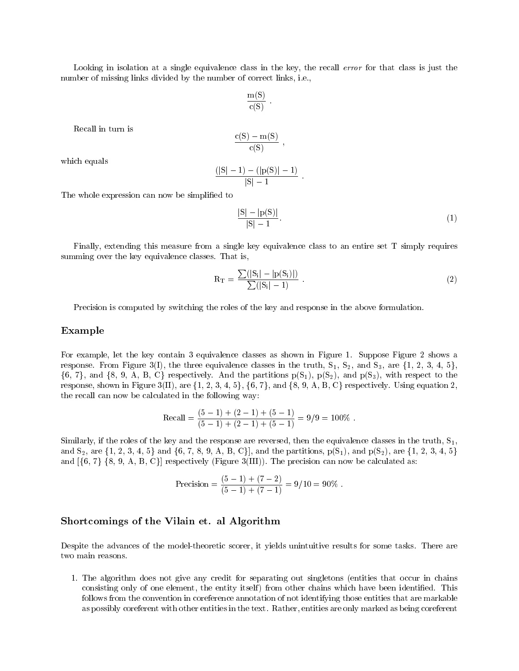Looking in isolation at a single equivalence class in the key, the recall error for that class is just the number of missing links divided by the number of correct links, i.e.,

$$
\frac{m(S)}{c(S)}.
$$

Recall in turn is

$$
\frac{c(S)-m(S)}{c(S)}\ ,
$$

which equals

$$
\frac{(|S|-1)-(|p(S)|-1)}{|S|-1}.
$$

The whole expression can now be simplified to

$$
\frac{|S| - |p(S)|}{|S| - 1}.\tag{1}
$$

Finally, extending this measure from a single key equivalence class to an entire set T simply requires summing over the key equivalence classes. That is,

$$
R_{\rm T} = \frac{\sum (|S_i| - |p(S_i)|)}{\sum (|S_i| - 1)} \ . \tag{2}
$$

Precision is computed by switching the roles of the key and response in the above formulation.

#### Example

For example, let the key contain 3 equivalence classes as shown in Figure 1. Suppose Figure 2 shows a response. From Figure 3(I), the three equivalence classes in the truth,  $S_1$ ,  $S_2$ , and  $S_3$ , are  $\{1, 2, 3, 4, 5\}$ ,  $\{6, 7\}$ , and  $\{8, 9, A, B, C\}$  respectively. And the partitions  $p(S_1)$ ,  $p(S_2)$ , and  $p(S_3)$ , with respect to the response, shown in Figure 3(II), are  $\{1, 2, 3, 4, 5\}$ ,  $\{6, 7\}$ , and  $\{8, 9, A, B, C\}$  respectively. Using equation 2, the recall can now be calculated in the following way:

Recall = 
$$
\frac{(5-1) + (2-1) + (5-1)}{(5-1) + (2-1) + (5-1)} = 9/9 = 100\%
$$
.

Similarly, if the roles of the key and the response are reversed, then the equivalence classes in the truth,  $S_1$ , and  $S_2$ , are  $\{1, 2, 3, 4, 5\}$  and  $\{6, 7, 8, 9, A, B, C\}$ , and the partitions,  $p(S_1)$ , and  $p(S_2)$ , are  $\{1, 2, 3, 4, 5\}$ and  $[\{6, 7\}$   $\{8, 9, A, B, C\}]$  respectively (Figure 3(III)). The precision can now be calculated as:

$$
Precision = \frac{(5-1) + (7-2)}{(5-1) + (7-1)} = 9/10 = 90\%.
$$

#### Shortcomings of the Vilain et. al Algorithm

Despite the advances of the model-theoretic scorer, it yields unintuitive results for some tasks. There are two main reasons.

1. The algorithm does not give any credit for separating out singletons (entities that occur in chains consisting only of one element, the entity itself) from other chains which have been identified. This follows from the convention in coreference annotation of not identifying those entities that are markable as possibly coreferent with other entities in the text. Rather, entities are only marked as being coreferent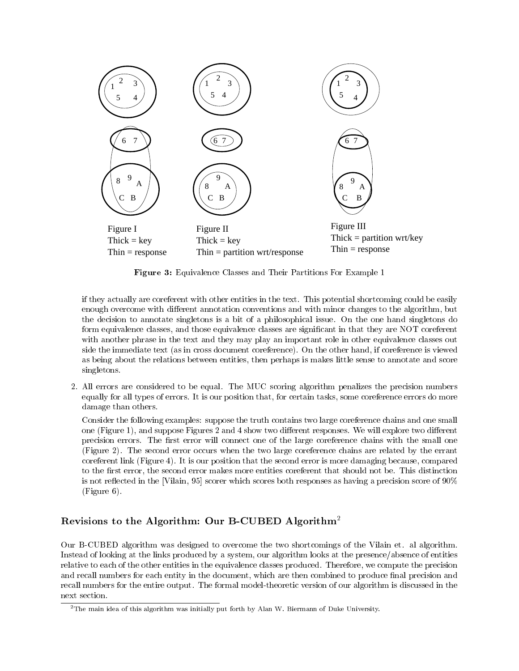

Figure 3: Equivalence Classes and Their Partitions For Example 1

if they actually are coreferent with other entities in the text. This potential shortcoming could be easily enough overcome with different annotation conventions and with minor changes to the algorithm, but the decision to annotate singletons is a bit of a philosophical issue. On the one hand singletons do form equivalence classes, and those equivalence classes are significant in that they are NOT coreferent with another phrase in the text and they may play an important role in other equivalence classes out side the immediate text (as in cross document coreference). On the other hand, if coreference is viewed as being about the relations between entities, then perhaps is makes little sense to annotate and score singletons.

2. All errors are considered to be equal. The MUC scoring algorithm penalizes the precision numbers equally for all types of errors. It is our position that, for certain tasks, some coreference errors do more damage than others.

Consider the following examples: suppose the truth contains two large coreference chains and one small one (Figure 1), and suppose Figures 2 and 4 show two different responses. We will explore two different precision errors. The first error will connect one of the large coreference chains with the small one (Figure 2). The second error occurs when the two large coreference chains are related by the errant coreferent link (Figure 4). It is our position that the second error is more damaging because, compared to the first error, the second error makes more entities coreferent that should not be. This distinction is not reflected in the [Vilain, 95] scorer which scores both responses as having a precision score of  $90\%$ (Figure 6).

# Revisions to the Algorithm: Our B-CUBED Algorithm2

Our B-CUBED algorithm was designed to overcome the two shortcomings of the Vilain et. al algorithm. Instead of looking at the links produced by a system, our algorithm looks at the presence/absence of entities relative to each of the other entities in the equivalence classes produced. Therefore, we compute the precision and recall numbers for each entity in the document, which are then combined to produce final precision and recall numbers for the entire output. The formal model-theoretic version of our algorithm is discussed in the next section.

 $2$ The main idea of this algorithm was initially put forth by Alan W. Biermann of Duke University.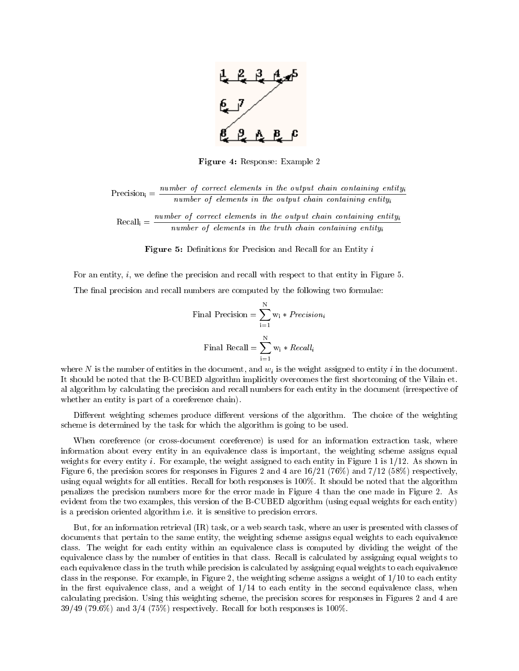

Figure 4: Response: Example 2

Precisioni <sup>=</sup> number of correct elements in the output chain containing entityi number of elements in the output chain containing entityi

 $Recall_i = \frac{n_1 + n_2 + n_3 + n_4 + n_5 + n_6}{n_1 + n_2 + n_3 + n_4 + n_5 + n_6 + n_7 + n_8 + n_9 + n_1 + n_1 + n_2 + n_3 + n_1 + n_2 + n_3 + n_4 + n_5 + n_6 + n_7 + n_8 + n_9 + n_1 + n_1 + n_2 + n_3 + n_4 + n_5 + n_6 + n_7 + n_8 + n_9 + n_1 + n_2 + n_3 + n_4 + n_5 + n_6 + n_7 + n_8 + n_9 + n_1 + n_2 + n_3 + n_4 + n_5 + n_6 + n_$ number of elements in the truth chain containing entityi

**Figure 5:** Deminitions for Precision and Recall for an Entity  $i$ 

For an entity,  $i$ , we define the precision and recall with respect to that entity in Figure 5.

The final precision and recall numbers are computed by the following two formulae:

Final Precision = 
$$
\sum_{i=1}^{N} w_i * Precision_i
$$

\nFinal Recall = 
$$
\sum_{i=1}^{N} w_i * Recall_i
$$

where N is the number of entities in the document, and  $w_i$  is the weight assigned to entity i in the document. It should be noted that the B-CUBED algorithm implicitly overcomes the first shortcoming of the Vilain et. al algorithm by calculating the precision and recall numbers for each entity in the document (irrespective of whether an entity is part of a coreference chain).

Different weighting schemes produce different versions of the algorithm. The choice of the weighting scheme is determined by the task for which the algorithm is going to be used.

When coreference (or cross-document coreference) is used for an information extraction task, where information about every entity in an equivalence class is important, the weighting scheme assigns equal weights for every entity i. For example, the weight assigned to each entity in Figure 1 is 1/12. As shown in Figure 6, the precision scores for responses in Figures 2 and 4 are 16/21 (76%) and 7/12 (58%) respectively, using equal weights for all entities. Recall for both responses is 100%. It should be noted that the algorithm penalizes the precision numbers more for the error made in Figure 4 than the one made in Figure 2. As evident from the two examples, this version of the B-CUBED algorithm (using equal weights for each entity) is a precision oriented algorithm i.e. it is sensitive to precision errors.

But, for an information retrieval (IR) task, or a web search task, where an user is presented with classes of documents that pertain to the same entity, the weighting scheme assigns equal weights to each equivalence class. The weight for each entity within an equivalence class is computed by dividing the weight of the equivalence class by the number of entities in that class. Recall is calculated by assigning equal weights to each equivalence class in the truth while precision is calculated by assigning equal weights to each equivalence class in the response. For example, in Figure 2, the weighting scheme assigns a weight of 1/10 to each entity in the first equivalence class, and a weight of  $1/14$  to each entity in the second equivalence class, when calculating precision. Using this weighting scheme, the precision scores for responses in Figures 2 and 4 are  $39/49$  (79.6%) and  $3/4$  (75%) respectively. Recall for both responses is 100%.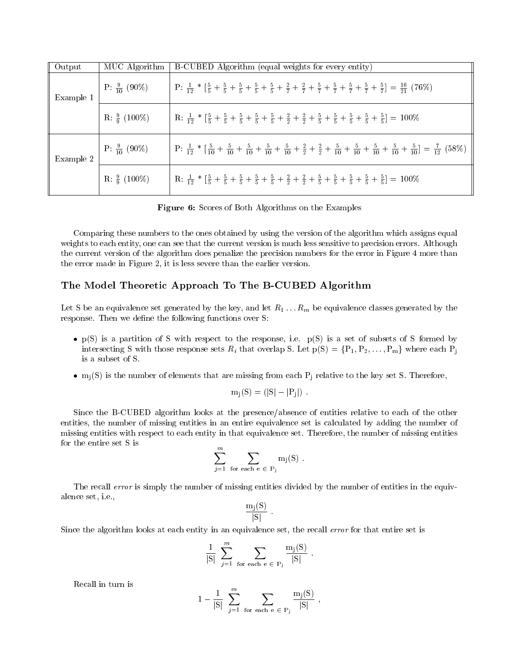| Output    | MUC Algorithm            | B-CUBED Algorithm (equal weights for every entity)                                                                                                                                                                          |
|-----------|--------------------------|-----------------------------------------------------------------------------------------------------------------------------------------------------------------------------------------------------------------------------|
| Example 1 | $P: \frac{9}{10} (90\%)$ | $\mid P: \frac{1}{12} * [\frac{5}{5} + \frac{5}{5} + \frac{5}{5} + \frac{5}{5} + \frac{2}{5} + \frac{2}{7} + \frac{2}{7} + \frac{5}{7} + \frac{5}{7} + \frac{5}{7} + \frac{5}{7} + \frac{5}{7}] = \frac{16}{21} (76\%)$     |
|           | R: $\frac{9}{9}$ (100%)  | $R: \frac{1}{12} * [\frac{5}{5} + \frac{5}{5} + \frac{5}{5} + \frac{5}{5} + \frac{2}{5} + \frac{2}{5} + \frac{2}{5} + \frac{5}{5} + \frac{5}{5} + \frac{5}{5} + \frac{5}{5} + \frac{5}{5}] = 100\%$                         |
| Example 2 | P: $\frac{9}{10}$ (90%)  | $P: \frac{1}{12} * [\frac{5}{10} + \frac{5}{10} + \frac{5}{10} + \frac{5}{10} + \frac{5}{10} + \frac{2}{2} + \frac{2}{2} + \frac{5}{10} + \frac{5}{10} + \frac{5}{10} + \frac{5}{10} + \frac{5}{10}] = \frac{7}{12} (58\%)$ |
|           | R: $\frac{9}{9}$ (100%)  | R: $\frac{1}{12}$ * $\left[\frac{5}{5} + \frac{5}{5} + \frac{5}{5} + \frac{5}{5} + \frac{5}{5} + \frac{2}{5} + \frac{2}{5} + \frac{5}{5} + \frac{5}{5} + \frac{5}{5} + \frac{5}{5} + \frac{5}{5}\right] = 100\%$            |

Figure 6: Scores of Both Algorithms on the Examples

Comparing these numbers to the ones obtained by using the version of the algorithm which assigns equal weights to each entity, one can see that the current version is much less sensitive to precision errors. Although the current version of the algorithm does penalize the precision numbers for the error in Figure 4 more than the error made in Figure 2, it is less severe than the earlier version.

# The Model Theoretic Approach To The B-CUBED Algorithm

Let S be an equivalence set generated by the key, and let  $R_1 \ldots R_m$  be equivalence classes generated by the response. Then we define the following functions over S:

- $\bullet$  p(5) is a partition of 5 with respect to the response, i.e. p(5) is a set of subsets of 5 formed by intersecting S with those response sets  $R_i$  that overlap S. Let  $p(S) = \{P_1, P_2, \ldots, P_m\}$  where each  $P_j$ is a subset of S.
- $\bullet$  m<sub>i</sub>(S) is the number of elements that are missing from each P<sub>i</sub> relative to the key set S. Therefore,

$$
m_j(S) = (|S| - |P_j|)
$$
.

Since the B-CUBED algorithm looks at the presence/absence of entities relative to each of the other entities, the number of missing entities in an entire equivalence set is calculated by adding the number of missing entities with respect to each entity in that equivalence set. Therefore, the number of missing entities for the entire set S is

$$
\sum_{j=1}^m \sum_{\text{for each } e \in P_j} m_j(S) .
$$

The recall error is simply the number of missing entities divided by the number of entities in the equivalence set, i.e.,

$$
\frac{\mathrm{m}_{j}(S)}{|S|} .
$$

Since the algorithm looks at each entity in an equivalence set, the recall error for that entire set is

$$
\frac{1}{|S|} \sum_{j=1}^{m} \sum_{\text{for each } e \in P_j} \frac{m_j(S)}{|S|} .
$$

$$
1 - \frac{1}{|S|} \sum_{j=1}^{m} \sum_{\text{for each } e \in P_j} \frac{m_j(S)}{|S|} \;,
$$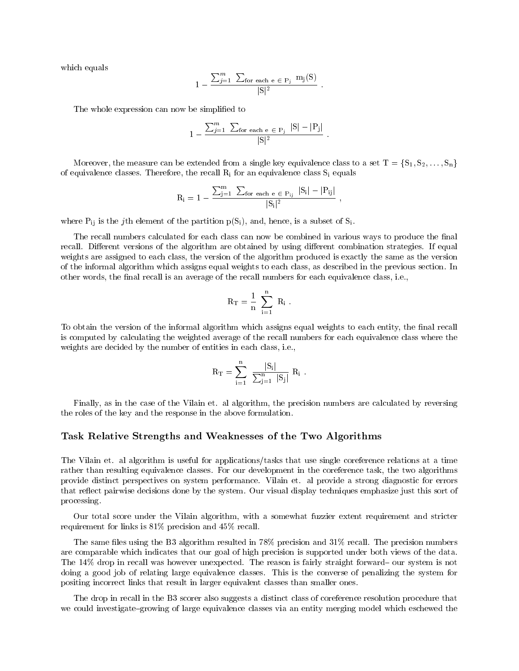which equals

$$
1 - \frac{\sum_{j=1}^{m} \sum_{\text{for each } e \in P_j} m_j(S)}{|S|^2}.
$$

The whole expression can now be simplified to

$$
1 - \frac{\sum_{j=1}^{m} \sum_{\text{for each } e \in P_j} |S| - |P_j|}{|S|^2}.
$$

Moreover, the measure can be extended from a single key equivalence class to a set  $T = \{S_1, S_2, \ldots, S_n\}$ of equivalence classes. Therefore, the recall  $\rm R_i$  for an equivalence class  $\rm S_i$  equals

$$
\rm R_i = 1 - \frac{\sum_{j=1}^{m} \ \sum_{for \ each \ e \ \in \ P_{ij}} \ |S_i| - |P_{ij}|}{|S_i|^2} \ ,
$$

where  $\rm P_{ij}$  is the  $j\rm{th}$  element of the partition  $\rm p(S_i),$  and, hence, is a subset of  $\rm S_i.$ 

The recall numbers calculated for each class can now be combined in various ways to produce the final recall. Different versions of the algorithm are obtained by using different combination strategies. If equal weights are assigned to each class, the version of the algorithm produced is exactly the same as the version of the informal algorithm which assigns equal weights to each class, as described in the previous section. In other words, the final recall is an average of the recall numbers for each equivalence class, i.e.,

$$
R_T = \frac{1}{n} \sum_{i=1}^n R_i \; .
$$

To obtain the version of the informal algorithm which assigns equal weights to each entity, the final recall is computed by calculating the weighted average of the recall numbers for each equivalence class where the weights are decided by the number of entities in each class, i.e.,

$$
R_T = \sum_{i=1}^n \frac{|S_i|}{\sum_{j=1}^n |S_j|} R_i \; .
$$

Finally, as in the case of the Vilain et. al algorithm, the precision numbers are calculated by reversing the roles of the key and the response in the above formulation.

#### Task Relative Strengths and Weaknesses of the Two Algorithms

The Vilain et. al algorithm is useful for applications/tasks that use single coreference relations at a time rather than resulting equivalence classes. For our development in the coreference task, the two algorithms provide distinct perspectives on system performance. Vilain et. al provide a strong diagnostic for errors that reflect pairwise decisions done by the system. Our visual display techniques emphasize just this sort of processing.

Our total score under the Vilain algorithm, with a somewhat fuzzier extent requirement and stricter requirement for links is 81% precision and 45% recall.

The same files using the B3 algorithm resulted in 78% precision and 31% recall. The precision numbers are comparable which indicates that our goal of high precision is supported under both views of the data. The 14% drop in recall was however unexpected. The reason is fairly straight forward- our system is not doing a good job of relating large equivalence classes. This is the converse of penalizing the system for positing incorrect links that result in larger equivalent classes than smaller ones.

The drop in recall in the B3 scorer also suggests a distinct class of coreference resolution procedure that we could investigate-growing of large equivalence classes via an entity merging model which eschewed the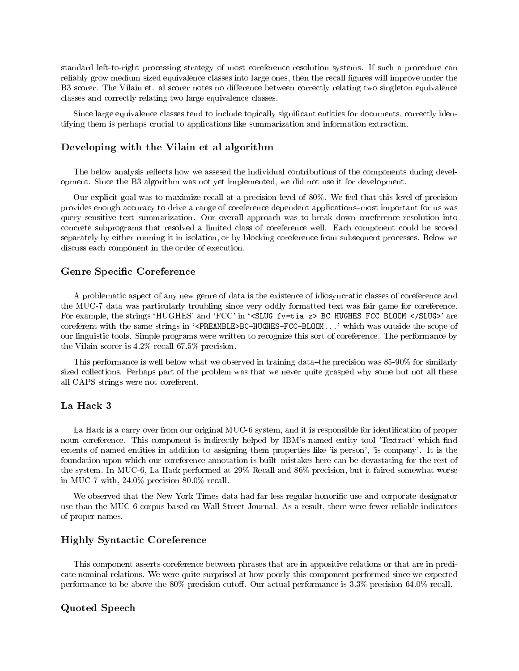standard left-to-right processing strategy of most coreference resolution systems. If such a procedure can reliably grow medium sized equivalence classes into large ones, then the recall gures will improve under the B3 scorer. The Vilain et. al scorer notes no difference between correctly relating two singleton equivalence classes and correctly relating two large equivalence classes.

Since large equivalence classes tend to include topically signicant entities for documents, correctly identifying them is perhaps crucial to applications like summarization and information extraction.

#### Developing with the Vilain et al algorithm

The below analysis reflects how we assesed the individual contributions of the components during development. Since the B3 algorithm was not yet implemented, we did not use it for development.

Our explicit goal was to maximize recall at a precision level of 80%. We feel that this level of precision provides enough accuracy to drive a range of coreference dependent applications{most important for us was query sensitive text summarization. Our overall approach was to break down coreference resolution into concrete subprograms that resolved a limited class of coreference well. Each component could be scored separately by either running it in isolation, or by blocking coreference from subsequent processes. Below we discuss each component in the order of execution.

#### Genre Specic Coreference

A problematic aspect of any new genre of data is the existence of idiosyncratic classes of coreference and the MUC-7 data was particularly troubling since very oddly formatted text was fair game for coreference. For example, the strings 'HUGHES' and 'FCC' in '<SLUG fv=tia-z> BC-HUGHES-FCC-BLOOM </SLUG>' are coreferent with the same strings in `<PREAMBLE>BC-HUGHES-FCC-BLOOM...' which was outside the scope of our linguistic tools. Simple programs were written to recognize this sort of coreference. The performance by the Vilain scorer is 4.2% recall 67.5% precision.

This performance is well below what we observed in training data-the precision was 85-90% for similarly sized collections. Perhaps part of the problem was that we never quite grasped why some but not all these all CAPS strings were not coreferent.

# La Hack 3

La Hack is a carry over from our original MUC-6 system, and it is responsible for identification of proper noun coreference. This component is indirectly helped by IBM's named entity tool 'Textract' which find extents of named entities in addition to assigning them properties like 'is person', 'is company'. It is the foundation upon which our coreference annotation is built–mistakes here can be devastating for the rest of the system. In MUC-6, La Hack performed at 29% Recall and 86% precision, but it faired somewhat worse in MUC-7 with, 24.0% precision 80.0% recall.

We observed that the New York Times data had far less regular honorific use and corporate designator use than the MUC-6 corpus based on Wall Street Journal. As a result, there were fewer reliable indicators of proper names.

# Highly Syntactic Coreference

This component asserts coreference between phrases that are in appositive relations or that are in predicate nominal relations. We were quite surprised at how poorly this component performed since we expected performance to be above the 80% precision cutoff. Our actual performance is  $3.3\%$  precision 64.0% recall.

#### Quoted Speech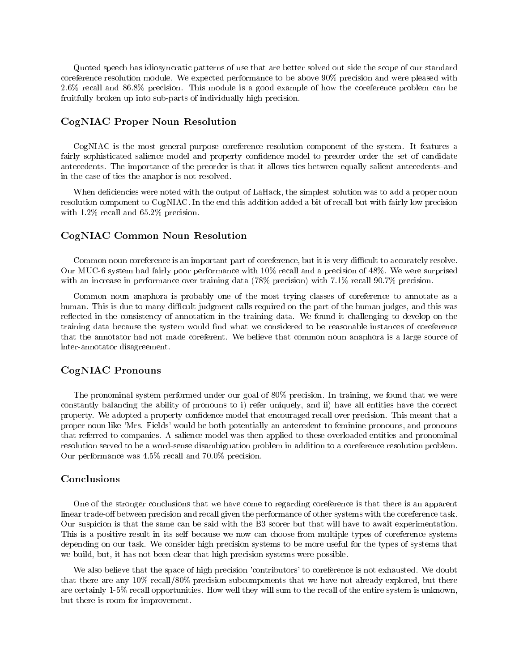Quoted speech has idiosyncratic patterns of use that are better solved out side the scope of our standard coreference resolution module. We expected performance to be above 90% precision and were pleased with 2.6% recall and 86.8% precision. This module is a good example of how the coreference problem can be fruitfully broken up into sub-parts of individually high precision.

## CogNIAC Proper Noun Resolution

CogNIAC is the most general purpose coreference resolution component of the system. It features a fairly sophisticated salience model and property confidence model to preorder order the set of candidate antecedents. The importance of the preorder is that it allows ties between equally salient antecedents-and in the case of ties the anaphor is not resolved.

When deficiencies were noted with the output of LaHack, the simplest solution was to add a proper noun resolution component to CogNIAC. In the end this addition added a bit of recall but with fairly low precision with  $1.2\%$  recall and 65.2% precision.

#### CogNIAC Common Noun Resolution

Common noun coreference is an important part of coreference, but it is very difficult to accurately resolve. Our MUC-6 system had fairly poor performance with 10% recall and a precision of 48%. We were surprised with an increase in performance over training data (78% precision) with 7.1% recall 90.7% precision.

Common noun anaphora is probably one of the most trying classes of coreference to annotate as a human. This is due to many difficult judgment calls required on the part of the human judges, and this was reflected in the consistency of annotation in the training data. We found it challenging to develop on the training data because the system would find what we considered to be reasonable instances of coreference that the annotator had not made coreferent. We believe that common noun anaphora is a large source of inter-annotator disagreement.

### CogNIAC Pronouns

The pronominal system performed under our goal of 80% precision. In training, we found that we were constantly balancing the ability of pronouns to i) refer uniquely, and ii) have all entities have the correct property. We adopted a property condence model that encouraged recall over precision. This meant that a proper noun like 'Mrs. Fields' would be both potentially an antecedent to feminine pronouns, and pronouns that referred to companies. A salience model was then applied to these overloaded entities and pronominal resolution served to be a word-sense disambiguation problem in addition to a coreference resolution problem. Our performance was 4.5% recall and 70.0% precision.

# Conclusions

One of the stronger conclusions that we have come to regarding coreference is that there is an apparent linear trade-off between precision and recall given the performance of other systems with the coreference task. Our suspicion is that the same can be said with the B3 scorer but that will have to await experimentation. This is a positive result in its self because we now can choose from multiple types of coreference systems depending on our task. We consider high precision systems to be more useful for the types of systems that we build, but, it has not been clear that high precision systems were possible.

We also believe that the space of high precision 'contributors' to coreference is not exhausted. We doubt that there are any 10% recall/80% precision subcomponents that we have not already explored, but there are certainly 1-5% recall opportunities. How well they will sum to the recall of the entire system is unknown, but there is room for improvement.